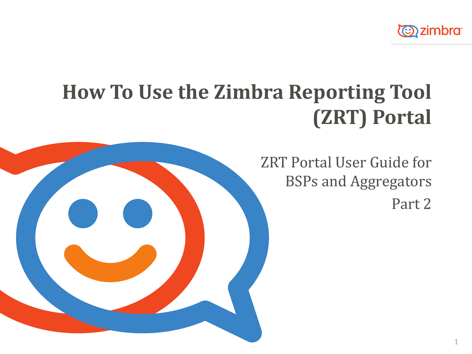

# **How To Use the Zimbra Reporting Tool (ZRT) Portal**



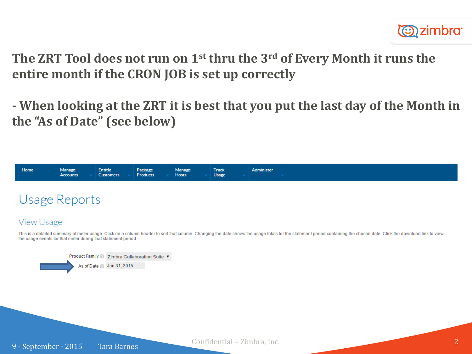

**The ZRT Tool does not run on 1st thru the 3rd of Every Month it runs the entire month if the CRON JOB is set up correctly**

**- When looking at the ZRT it is best that you put the last day of the Month in the "As of Date" (see below)**



## **Usage Reports**

## **View Usage**

This is a detailed summary of meter usage. Click on a column header to sort that column. Changing the date shows the usage totals for the statement period containing the chosen date. Click the download link to view the usage events for that meter during that statement period.

Product Family 2 Zimbra Collaboration Suite ▼ As of Date 2 Jan 31, 2015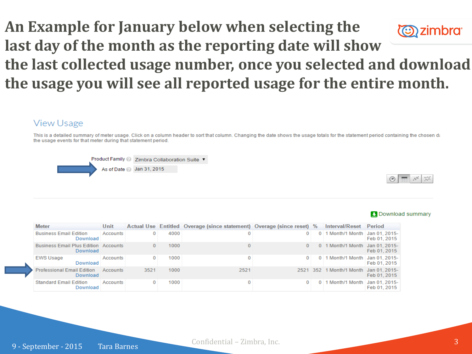## **An Example for January below when selecting the (C)** zimbra **last day of the month as the reporting date will show the last collected usage number, once you selected and download the usage you will see all reported usage for the entire month.**

## **View Usage**

This is a detailed summary of meter usage. Click on a column header to sort that column. Changing the date shows the usage totals for the statement period containing the chosen date the usage events for that meter during that statement period.





| <b>Meter</b>                                            | Unit     |      |      | Actual Use Entitled Overage (since statement) Overage (since reset) % |              |            | Interval/Reset Period             |              |
|---------------------------------------------------------|----------|------|------|-----------------------------------------------------------------------|--------------|------------|-----------------------------------|--------------|
| <b>Business Email Edition</b><br>Download               | Accounts |      | 4000 | 0                                                                     | 0            | $\Omega$   | 1 Month/1 Month   Jan 01, 2015-   | Feb 01, 2015 |
| <b>Business Email Plus Edition Accounts</b><br>Download |          |      | 1000 |                                                                       | $\mathbf{0}$ |            | 0 1 Month/1 Month Jan 01, 2015-   | Feb 01, 2015 |
| <b>EWS Usage</b><br>Download                            | Accounts | 0    | 1000 | 0                                                                     | $\Omega$     | $\Omega$   | 1 Month/1 Month   Jan 01, 2015-   | Feb 01, 2015 |
| <b>Professional Email Edition</b><br>Download           | Accounts | 3521 | 1000 | 2521                                                                  | 2521         |            | 352 1 Month/1 Month Jan 01, 2015- | Feb 01, 2015 |
| <b>Standard Email Edition</b><br>Download               | Accounts |      | 1000 | 0                                                                     |              | $^{\circ}$ | 1 Month/1 Month   Jan 01, 2015-   | Feb 01, 2015 |

#### **Download summary**

9 - September - 2015 Tara Barnes

Confidential – Zimbra, Inc. 3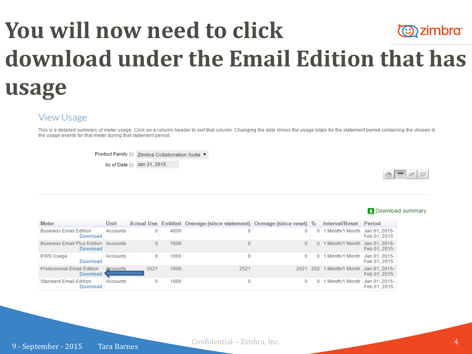# **You will now need to click Ozimbra download under the Email Edition that has usage**

### **View Usage**

This is a detailed summary of meter usage. Click on a column header to sort that column. Changing the date shows the usage totals for the statement period containing the chosen date the usage events for that meter during that statement period.

Product Family 2 Zimbra Collaboration Suite ▼

As of Date 2 Jan 31, 2015



| <b>Meter</b>                                            | Unit     |      |      | Actual Use Entitled Overage (since statement) Overage (since reset) % |          | Interval/Reset                         | Period       |
|---------------------------------------------------------|----------|------|------|-----------------------------------------------------------------------|----------|----------------------------------------|--------------|
| <b>Business Email Edition</b><br>Download               | Accounts | 0    | 4000 |                                                                       |          | 0 1 Month/1 Month Jan 01, 2015-        | Feb 01, 2015 |
| <b>Business Email Plus Edition Accounts</b><br>Download |          | 0    | 1000 |                                                                       | $\Omega$ | 0 1 Month/1 Month Jan 01, 2015-        | Feb 01, 2015 |
| <b>EWS Usage</b><br>Download                            | Accounts | 0    | 1000 | 0                                                                     | $\Omega$ | 0 1 Month/1 Month   Jan 01, 2015-      | Feb 01, 2015 |
| <b>Professional Email Edition</b><br>Download           | Accounts | 3521 | 1000 | 2521                                                                  |          | 2521 352 1 Month/1 Month Jan 01, 2015- | Feb 01, 2015 |
| <b>Standard Email Edition</b><br>Download               | Accounts | 0    | 1000 |                                                                       |          | 0 1 Month/1 Month   Jan 01, 2015-      | Feb 01, 2015 |

#### **Download summary**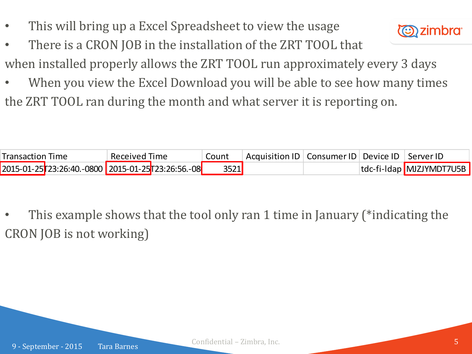- This will bring up a Excel Spreadsheet to view the usage
- There is a CRON JOB in the installation of the ZRT TOOL that



- when installed properly allows the ZRT TOOL run approximately every 3 days
- When you view the Excel Download you will be able to see how many times the ZRT TOOL ran during the month and what server it is reporting on.

| <b>Transaction Time</b> |                                                     | Received Time |  | Count | Acquisition ID   Consumer ID   Device ID   Server ID |  |                          |
|-------------------------|-----------------------------------------------------|---------------|--|-------|------------------------------------------------------|--|--------------------------|
|                         | 2015-01-25 723:26:40.-0800 2015-01-25 723:26:56.-08 |               |  | 3521  |                                                      |  | tdc-fi-Idap MJZJYMDT7U5B |

• This example shows that the tool only ran 1 time in January (\*indicating the CRON JOB is not working)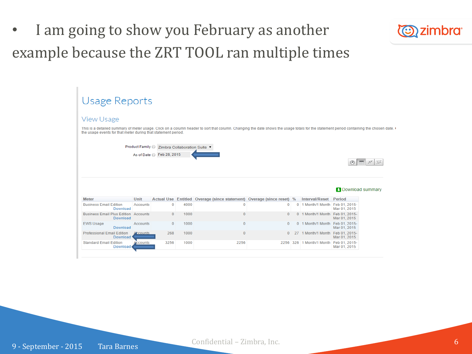I am going to show you February as another example because the ZRT TOOL ran multiple times



#### **Usage Reports View Usage** This is a detailed summary of meter usage. Click on a column header to sort that column. Changing the date shows the usage totals for the statement period containing the chosen date. the usage events for that meter during that statement period. Product Family <sup>©</sup> Zimbra Collaboration Suite ▼ As of Date 2 Feb 28, 2015  $\circ$   $\pi$   $\pi$   $\approx$ **Download summary Meter** Unit Actual Use Entitled Overage (since statement) Overage (since reset) % Interval/Reset Period **Business Email Edition** Accounts  $\mathbf{0}$ 4000  $\overline{0}$  $\mathbf{0}$ 0 1 Month/1 Month Feb 01, 2015-Download Mar 01, 2015 **Business Email Plus Edition Accounts** 1000  $\overline{0}$ 0 1 Month/1 Month Feb 01, 2015- $\Omega$  $\mathbf{0}$ Download Mar 01, 2015 0 1 Month/1 Month Feb 01, 2015-**EWS Usage**  $\Omega$ Accounts  $\Omega$ 1000  $\Omega$ Download Mar 01, 2015 **Professional Email Edition**  $\overline{0}$ 0 27 1 Month/1 Month Feb 01, 2015-268 1000 **Ccounts** Download Mar 01, 2015 **Standard Email Edition** ccounts 3256 1000 2256 2256 326 1 Month/1 Month Feb 01, 2015-**Download** Mar 01, 2015

9 - September - 2015 Tara Barnes

Confidential – Zimbra, Inc. 6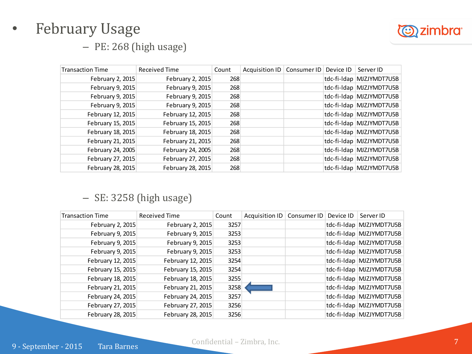# **D**zimbra

# • February Usage

– PE: 268 (high usage)

| <b>Transaction Time</b> | Received Time     | Count | Acquisition ID   Consumer ID   Device ID |  | Server ID                |
|-------------------------|-------------------|-------|------------------------------------------|--|--------------------------|
| February 2, 2015        | February 2, 2015  | 268   |                                          |  | tdc-fi-Idap MJZJYMDT7U5B |
| February 9, 2015        | February 9, 2015  | 268   |                                          |  | tdc-fi-Idap MJZJYMDT7U5B |
| February 9, 2015        | February 9, 2015  | 268   |                                          |  | tdc-fi-Idap MJZJYMDT7U5B |
| February 9, 2015        | February 9, 2015  | 268   |                                          |  | tdc-fi-Idap MJZJYMDT7U5B |
| February 12, 2015       | February 12, 2015 | 268   |                                          |  | tdc-fi-Idap MJZJYMDT7U5B |
| February 15, 2015       | February 15, 2015 | 268   |                                          |  | tdc-fi-Idap MJZJYMDT7U5B |
| February 18, 2015       | February 18, 2015 | 268   |                                          |  | tdc-fi-ldap MJZJYMDT7U5B |
| February 21, 2015       | February 21, 2015 | 268   |                                          |  | tdc-fi-Idap MJZJYMDT7U5B |
| February 24, 2005       | February 24, 2005 | 268   |                                          |  | tdc-fi-ldap MJZJYMDT7U5B |
| February 27, 2015       | February 27, 2015 | 268   |                                          |  | tdc-fi-ldap MJZJYMDT7U5B |
| February 28, 2015       | February 28, 2015 | 268   |                                          |  | tdc-fi-Idap MJZJYMDT7U5B |

## – SE: 3258 (high usage)

| <b>Transaction Time</b> | Received Time     | Count | Acquisition ID | Consumer ID | Device ID | Server ID                |
|-------------------------|-------------------|-------|----------------|-------------|-----------|--------------------------|
| February 2, 2015        | February 2, 2015  | 3257  |                |             |           | tdc-fi-Idap MJZJYMDT7U5B |
| February 9, 2015        | February 9, 2015  | 3253  |                |             |           | tdc-fi-Idap MJZJYMDT7U5B |
| February 9, 2015        | February 9, 2015  | 3253  |                |             |           | tdc-fi-Idap MJZJYMDT7U5B |
| February 9, 2015        | February 9, 2015  | 3253  |                |             |           | tdc-fi-Idap MJZJYMDT7U5B |
| February 12, 2015       | February 12, 2015 | 3254  |                |             |           | tdc-fi-Idap MJZJYMDT7U5B |
| February 15, 2015       | February 15, 2015 | 3254  |                |             |           | tdc-fi-Idap MJZJYMDT7U5B |
| February 18, 2015       | February 18, 2015 | 3255  |                |             |           | tdc-fi-Idap MJZJYMDT7U5B |
| February 21, 2015       | February 21, 2015 | 3258  |                |             |           | tdc-fi-Idap MJZJYMDT7U5B |
| February 24, 2015       | February 24, 2015 | 3257  |                |             |           | tdc-fi-Idap MJZJYMDT7U5B |
| February 27, 2015       | February 27, 2015 | 3256  |                |             |           | tdc-fi-Idap MJZJYMDT7U5B |
| February 28, 2015       | February 28, 2015 | 3256  |                |             |           | tdc-fi-ldap MJZJYMDT7U5B |